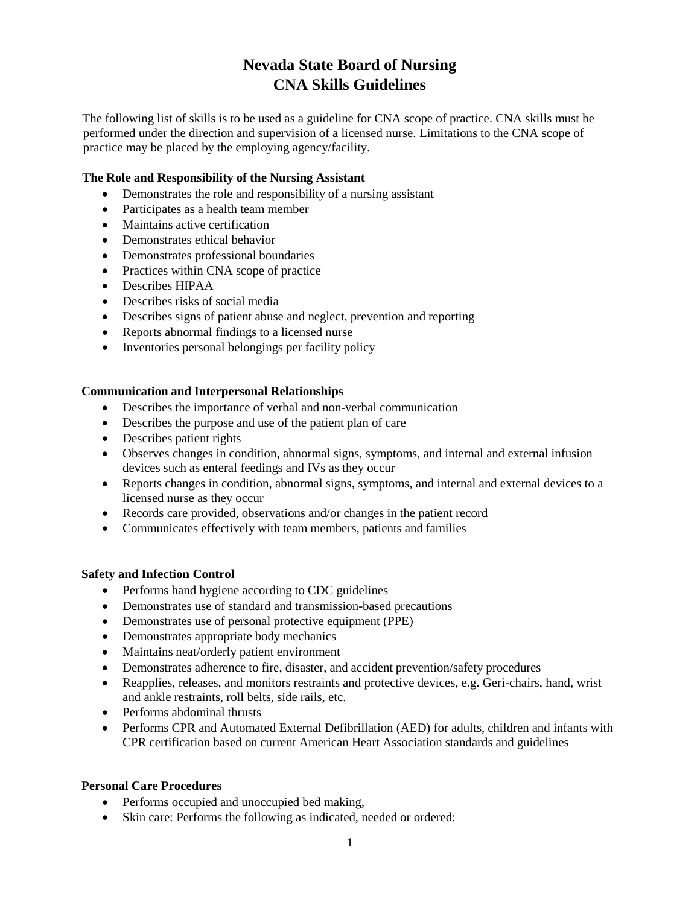# **Nevada State Board of Nursing CNA Skills Guidelines**

The following list of skills is to be used as a guideline for CNA scope of practice. CNA skills must be performed under the direction and supervision of a licensed nurse. Limitations to the CNA scope of practice may be placed by the employing agency/facility.

### **The Role and Responsibility of the Nursing Assistant**

- Demonstrates the role and responsibility of a nursing assistant
- Participates as a health team member
- Maintains active certification
- Demonstrates ethical behavior
- Demonstrates professional boundaries
- Practices within CNA scope of practice
- Describes HIPAA
- Describes risks of social media
- Describes signs of patient abuse and neglect, prevention and reporting
- Reports abnormal findings to a licensed nurse
- Inventories personal belongings per facility policy

### **Communication and Interpersonal Relationships**

- Describes the importance of verbal and non-verbal communication
- Describes the purpose and use of the patient plan of care
- Describes patient rights
- Observes changes in condition, abnormal signs, symptoms, and internal and external infusion devices such as enteral feedings and IVs as they occur
- Reports changes in condition, abnormal signs, symptoms, and internal and external devices to a licensed nurse as they occur
- Records care provided, observations and/or changes in the patient record
- Communicates effectively with team members, patients and families

### **Safety and Infection Control**

- Performs hand hygiene according to CDC guidelines
- Demonstrates use of standard and transmission-based precautions
- Demonstrates use of personal protective equipment (PPE)
- Demonstrates appropriate body mechanics
- Maintains neat/orderly patient environment
- Demonstrates adherence to fire, disaster, and accident prevention/safety procedures
- Reapplies, releases, and monitors restraints and protective devices, e.g. Geri-chairs, hand, wrist and ankle restraints, roll belts, side rails, etc.
- Performs abdominal thrusts
- Performs CPR and Automated External Defibrillation (AED) for adults, children and infants with CPR certification based on current American Heart Association standards and guidelines

### **Personal Care Procedures**

- Performs occupied and unoccupied bed making,
- Skin care: Performs the following as indicated, needed or ordered: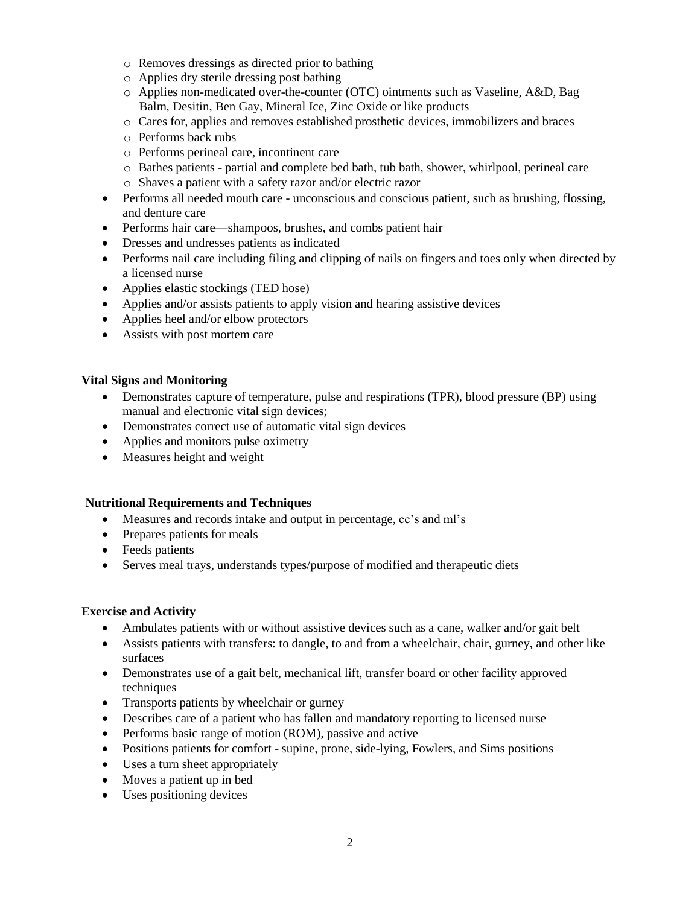- o Removes dressings as directed prior to bathing
- o Applies dry sterile dressing post bathing
- o Applies non-medicated over-the-counter (OTC) ointments such as Vaseline, A&D, Bag Balm, Desitin, Ben Gay, Mineral Ice, Zinc Oxide or like products
- o Cares for, applies and removes established prosthetic devices, immobilizers and braces
- o Performs back rubs
- o Performs perineal care, incontinent care
- o Bathes patients partial and complete bed bath, tub bath, shower, whirlpool, perineal care
- o Shaves a patient with a safety razor and/or electric razor
- Performs all needed mouth care unconscious and conscious patient, such as brushing, flossing, and denture care
- Performs hair care—shampoos, brushes, and combs patient hair
- Dresses and undresses patients as indicated
- Performs nail care including filing and clipping of nails on fingers and toes only when directed by a licensed nurse
- Applies elastic stockings (TED hose)
- Applies and/or assists patients to apply vision and hearing assistive devices
- Applies heel and/or elbow protectors
- Assists with post mortem care

### **Vital Signs and Monitoring**

- Demonstrates capture of temperature, pulse and respirations (TPR), blood pressure (BP) using manual and electronic vital sign devices;
- Demonstrates correct use of automatic vital sign devices
- Applies and monitors pulse oximetry
- Measures height and weight

### **Nutritional Requirements and Techniques**

- Measures and records intake and output in percentage, cc's and ml's
- Prepares patients for meals
- Feeds patients
- Serves meal trays, understands types/purpose of modified and therapeutic diets

### **Exercise and Activity**

- Ambulates patients with or without assistive devices such as a cane, walker and/or gait belt
- Assists patients with transfers: to dangle, to and from a wheelchair, chair, gurney, and other like surfaces
- Demonstrates use of a gait belt, mechanical lift, transfer board or other facility approved techniques
- Transports patients by wheelchair or gurney
- Describes care of a patient who has fallen and mandatory reporting to licensed nurse
- Performs basic range of motion (ROM), passive and active
- Positions patients for comfort supine, prone, side-lying, Fowlers, and Sims positions
- Uses a turn sheet appropriately
- Moves a patient up in bed
- Uses positioning devices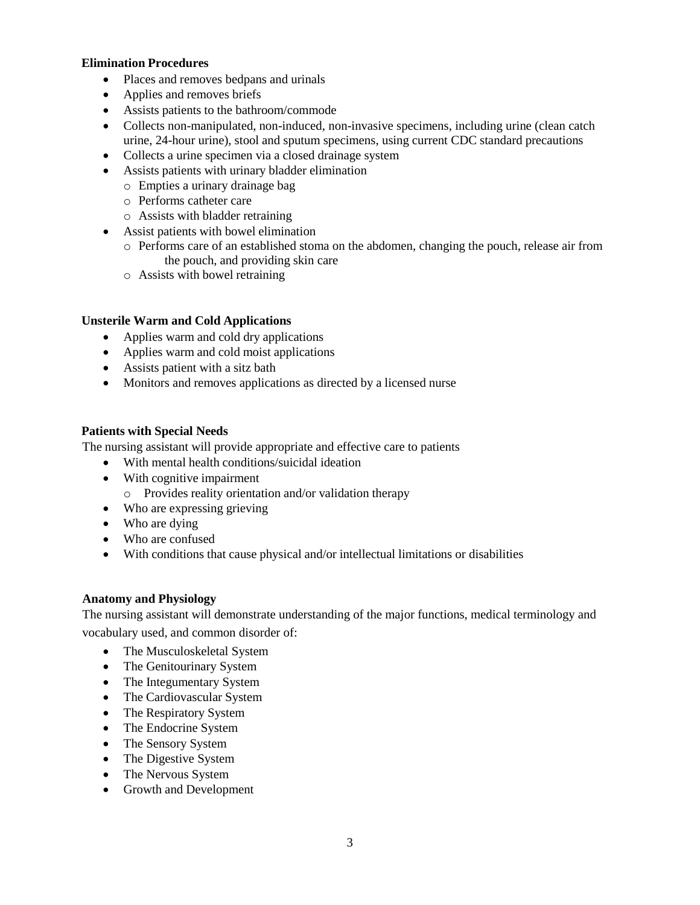### **Elimination Procedures**

- Places and removes bedpans and urinals
- Applies and removes briefs
- Assists patients to the bathroom/commode
- Collects non-manipulated, non-induced, non-invasive specimens, including urine (clean catch urine, 24-hour urine), stool and sputum specimens, using current CDC standard precautions
- Collects a urine specimen via a closed drainage system
- Assists patients with urinary bladder elimination
	- o Empties a urinary drainage bag
	- o Performs catheter care
	- o Assists with bladder retraining
- Assist patients with bowel elimination
	- o Performs care of an established stoma on the abdomen, changing the pouch, release air from the pouch, and providing skin care
	- o Assists with bowel retraining

### **Unsterile Warm and Cold Applications**

- Applies warm and cold dry applications
- Applies warm and cold moist applications
- Assists patient with a sitz bath
- Monitors and removes applications as directed by a licensed nurse

### **Patients with Special Needs**

The nursing assistant will provide appropriate and effective care to patients

- With mental health conditions/suicidal ideation
- With cognitive impairment
	- o Provides reality orientation and/or validation therapy
- Who are expressing grieving
- Who are dying
- Who are confused
- With conditions that cause physical and/or intellectual limitations or disabilities

### **Anatomy and Physiology**

The nursing assistant will demonstrate understanding of the major functions, medical terminology and vocabulary used, and common disorder of:

- The Musculoskeletal System
- The Genitourinary System
- The Integumentary System
- The Cardiovascular System
- The Respiratory System
- The Endocrine System
- The Sensory System
- The Digestive System
- The Nervous System
- Growth and Development